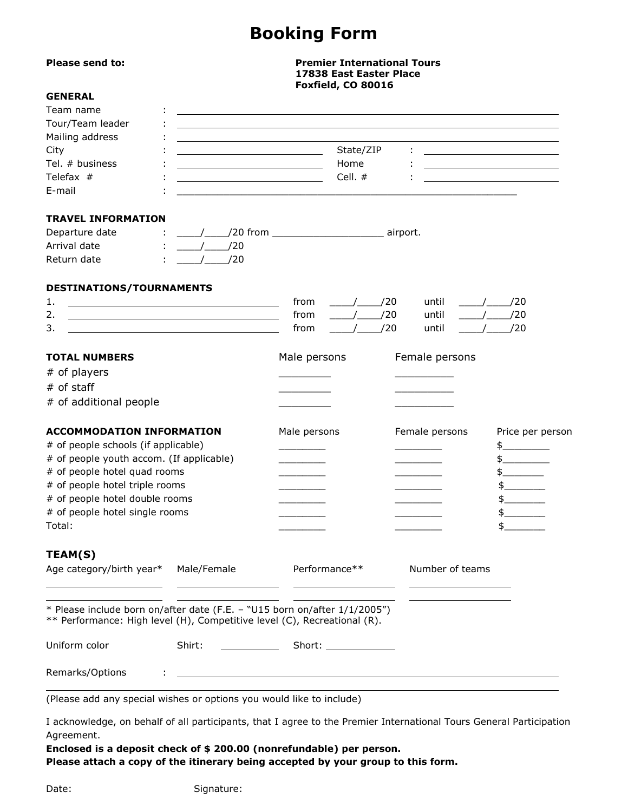# **Booking Form**

| Please send to:                                                                                                                                       | <b>Premier International Tours</b><br>17838 East Easter Place<br>Foxfield, CO 80016                                    |               |                        |  |                 |               |                                                             |
|-------------------------------------------------------------------------------------------------------------------------------------------------------|------------------------------------------------------------------------------------------------------------------------|---------------|------------------------|--|-----------------|---------------|-------------------------------------------------------------|
| <b>GENERAL</b>                                                                                                                                        |                                                                                                                        |               |                        |  |                 |               |                                                             |
| Team name                                                                                                                                             |                                                                                                                        |               |                        |  |                 |               |                                                             |
| Tour/Team leader                                                                                                                                      | ,我们也不会有一个人的人,我们也不会有一个人的人,我们也不会有一个人的人。""我们,我们也不会有一个人的人,我们也不会有一个人的人,我们也不会有一个人的人,我们                                       |               |                        |  |                 |               |                                                             |
| Mailing address                                                                                                                                       |                                                                                                                        |               |                        |  |                 |               |                                                             |
| City                                                                                                                                                  |                                                                                                                        |               | State/ZIP              |  |                 |               |                                                             |
| Tel. # business                                                                                                                                       | <u> 1989 - Johann Barbara, martxa alemaniar a</u>                                                                      |               | Home                   |  |                 |               | <u> 1989 - Johann Stoff, Amerikaansk politiker (* 1908)</u> |
| Telefax #                                                                                                                                             | <u> 1989 - Johann Barn, mars ann an t-Amhair ann an t-Aonaichte ann an t-Aonaichte ann an t-Aonaichte ann an t-Aon</u> |               | Cell. #                |  |                 |               | <u> 1989 - Johann Barbara, martin amerikan basar da</u>     |
| E-mail                                                                                                                                                |                                                                                                                        |               |                        |  |                 |               |                                                             |
| <b>TRAVEL INFORMATION</b>                                                                                                                             |                                                                                                                        |               |                        |  |                 |               |                                                             |
| Departure date                                                                                                                                        |                                                                                                                        |               |                        |  |                 |               |                                                             |
| Arrival date                                                                                                                                          | $\frac{1}{20}$                                                                                                         |               |                        |  |                 |               |                                                             |
| Return date                                                                                                                                           | $/$ $/20$                                                                                                              |               |                        |  |                 |               |                                                             |
| DESTINATIONS/TOURNAMENTS                                                                                                                              |                                                                                                                        |               |                        |  |                 |               |                                                             |
| 1.                                                                                                                                                    | <u> 1989 - Johann Barn, mars eta bat erroman erroman erroman erroman erroman erroman erroman erroman erroman err</u>   | from          | $\frac{\sqrt{20}}{20}$ |  | until           |               | $\frac{\sqrt{20}}{20}$                                      |
| 2.                                                                                                                                                    |                                                                                                                        | from          | $\frac{1}{20}$         |  | until           |               | $/$ $/20$                                                   |
| 3.                                                                                                                                                    |                                                                                                                        | from          | $/$ $/20$              |  | until           |               | $/$ $/20$                                                   |
| <b>TOTAL NUMBERS</b>                                                                                                                                  |                                                                                                                        | Male persons  |                        |  | Female persons  |               |                                                             |
| # of players                                                                                                                                          |                                                                                                                        |               |                        |  |                 |               |                                                             |
| # of staff                                                                                                                                            |                                                                                                                        |               |                        |  |                 |               |                                                             |
| # of additional people                                                                                                                                |                                                                                                                        |               |                        |  |                 |               |                                                             |
| <b>ACCOMMODATION INFORMATION</b>                                                                                                                      |                                                                                                                        | Male persons  |                        |  | Female persons  |               | Price per person                                            |
| # of people schools (if applicable)                                                                                                                   |                                                                                                                        |               |                        |  |                 |               | $\frac{1}{2}$                                               |
| # of people youth accom. (If applicable)                                                                                                              |                                                                                                                        |               |                        |  |                 |               |                                                             |
| # of people hotel quad rooms                                                                                                                          |                                                                                                                        |               |                        |  |                 | $\frac{1}{2}$ |                                                             |
| # of people hotel triple rooms                                                                                                                        |                                                                                                                        |               |                        |  |                 |               |                                                             |
| # of people hotel double rooms                                                                                                                        |                                                                                                                        |               |                        |  |                 |               |                                                             |
| # of people hotel single rooms                                                                                                                        |                                                                                                                        |               |                        |  |                 | \$            |                                                             |
| Total:                                                                                                                                                |                                                                                                                        |               |                        |  |                 |               |                                                             |
| <b>TEAM(S)</b>                                                                                                                                        |                                                                                                                        |               |                        |  |                 |               |                                                             |
| Age category/birth year*                                                                                                                              | Male/Female                                                                                                            | Performance** |                        |  | Number of teams |               |                                                             |
| * Please include born on/after date (F.E. - "U15 born on/after 1/1/2005")<br>** Performance: High level (H), Competitive level (C), Recreational (R). |                                                                                                                        |               |                        |  |                 |               |                                                             |
| Uniform color<br>Shirt:                                                                                                                               |                                                                                                                        |               |                        |  |                 |               |                                                             |
| Remarks/Options                                                                                                                                       | <u> 1989 - Johann Stein, mars an deutscher Stein und der Stein und der Stein und der Stein und der Stein und der</u>   |               |                        |  |                 |               |                                                             |
| (Please add any special wishes or options you would like to include)                                                                                  |                                                                                                                        |               |                        |  |                 |               |                                                             |
|                                                                                                                                                       |                                                                                                                        |               |                        |  |                 |               |                                                             |

I acknowledge, on behalf of all participants, that I agree to the Premier International Tours General Participation Agreement.

**Enclosed is a deposit check of \$ 200.00 (nonrefundable) per person. Please attach a copy of the itinerary being accepted by your group to this form.**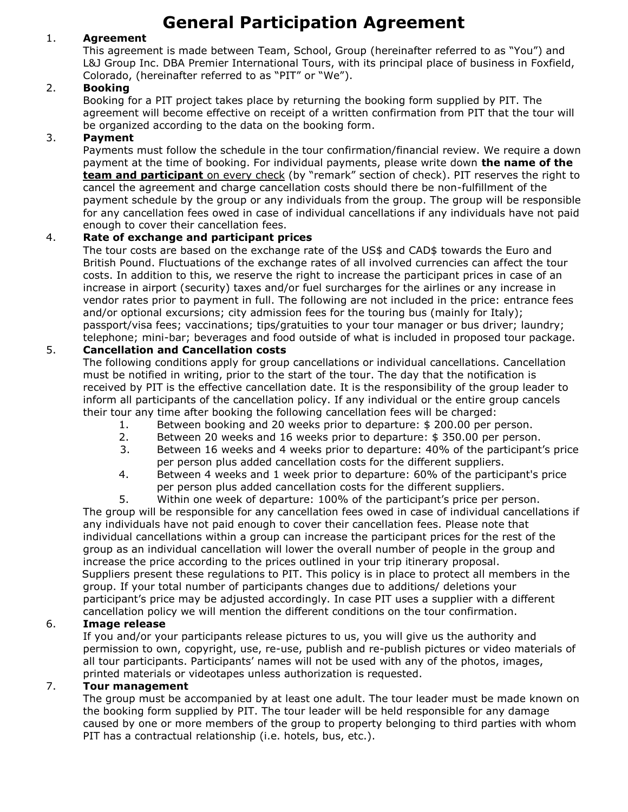# **General Participation Agreement**

# 1. **Agreement**

This agreement is made between Team, School, Group (hereinafter referred to as "You") and L&J Group Inc. DBA Premier International Tours, with its principal place of business in Foxfield, Colorado, (hereinafter referred to as "PIT" or "We").

## 2. **Booking**

Booking for a PIT project takes place by returning the booking form supplied by PIT. The agreement will become effective on receipt of a written confirmation from PIT that the tour will be organized according to the data on the booking form.

## 3. **Payment**

Payments must follow the schedule in the tour confirmation/financial review. We require a down payment at the time of booking. For individual payments, please write down **the name of the team and participant** on every check (by "remark" section of check). PIT reserves the right to cancel the agreement and charge cancellation costs should there be non-fulfillment of the payment schedule by the group or any individuals from the group. The group will be responsible for any cancellation fees owed in case of individual cancellations if any individuals have not paid enough to cover their cancellation fees.

# 4. **Rate of exchange and participant prices**

The tour costs are based on the exchange rate of the US\$ and CAD\$ towards the Euro and British Pound. Fluctuations of the exchange rates of all involved currencies can affect the tour costs. In addition to this, we reserve the right to increase the participant prices in case of an increase in airport (security) taxes and/or fuel surcharges for the airlines or any increase in vendor rates prior to payment in full. The following are not included in the price: entrance fees and/or optional excursions; city admission fees for the touring bus (mainly for Italy); passport/visa fees; vaccinations; tips/gratuities to your tour manager or bus driver; laundry; telephone; mini-bar; beverages and food outside of what is included in proposed tour package.

## 5. **Cancellation and Cancellation costs**

The following conditions apply for group cancellations or individual cancellations. Cancellation must be notified in writing, prior to the start of the tour. The day that the notification is received by PIT is the effective cancellation date. It is the responsibility of the group leader to inform all participants of the cancellation policy. If any individual or the entire group cancels their tour any time after booking the following cancellation fees will be charged:

- 1. Between booking and 20 weeks prior to departure: \$ 200.00 per person.
- 2. Between 20 weeks and 16 weeks prior to departure: \$ 350.00 per person.
- 3. Between 16 weeks and 4 weeks prior to departure: 40% of the participant's price per person plus added cancellation costs for the different suppliers.
- 4. Between 4 weeks and 1 week prior to departure: 60% of the participant's price per person plus added cancellation costs for the different suppliers.

5. Within one week of departure: 100% of the participant's price per person. The group will be responsible for any cancellation fees owed in case of individual cancellations if any individuals have not paid enough to cover their cancellation fees. Please note that individual cancellations within a group can increase the participant prices for the rest of the group as an individual cancellation will lower the overall number of people in the group and increase the price according to the prices outlined in your trip itinerary proposal. Suppliers present these regulations to PIT. This policy is in place to protect all members in the group. If your total number of participants changes due to additions/ deletions your participant's price may be adjusted accordingly. In case PIT uses a supplier with a different cancellation policy we will mention the different conditions on the tour confirmation.

### 6. **Image release**

If you and/or your participants release pictures to us, you will give us the authority and permission to own, copyright, use, re-use, publish and re-publish pictures or video materials of all tour participants. Participants' names will not be used with any of the photos, images, printed materials or videotapes unless authorization is requested.

### 7. **Tour management**

The group must be accompanied by at least one adult. The tour leader must be made known on the booking form supplied by PIT. The tour leader will be held responsible for any damage caused by one or more members of the group to property belonging to third parties with whom PIT has a contractual relationship (i.e. hotels, bus, etc.).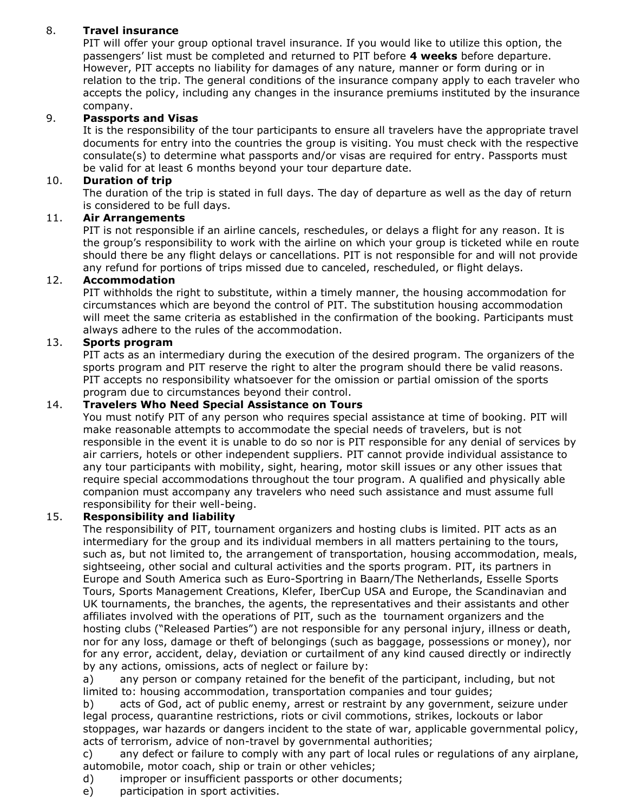# 8. **Travel insurance**

PIT will offer your group optional travel insurance. If you would like to utilize this option, the passengers' list must be completed and returned to PIT before **4 weeks** before departure. However, PIT accepts no liability for damages of any nature, manner or form during or in relation to the trip. The general conditions of the insurance company apply to each traveler who accepts the policy, including any changes in the insurance premiums instituted by the insurance company.

# 9. **Passports and Visas**

It is the responsibility of the tour participants to ensure all travelers have the appropriate travel documents for entry into the countries the group is visiting. You must check with the respective consulate(s) to determine what passports and/or visas are required for entry. Passports must be valid for at least 6 months beyond your tour departure date.

## 10. **Duration of trip**

The duration of the trip is stated in full days. The day of departure as well as the day of return is considered to be full days.

# 11. **Air Arrangements**

PIT is not responsible if an airline cancels, reschedules, or delays a flight for any reason. It is the group's responsibility to work with the airline on which your group is ticketed while en route should there be any flight delays or cancellations. PIT is not responsible for and will not provide any refund for portions of trips missed due to canceled, rescheduled, or flight delays.

## 12. **Accommodation**

PIT withholds the right to substitute, within a timely manner, the housing accommodation for circumstances which are beyond the control of PIT. The substitution housing accommodation will meet the same criteria as established in the confirmation of the booking. Participants must always adhere to the rules of the accommodation.

## 13. **Sports program**

PIT acts as an intermediary during the execution of the desired program. The organizers of the sports program and PIT reserve the right to alter the program should there be valid reasons. PIT accepts no responsibility whatsoever for the omission or partial omission of the sports program due to circumstances beyond their control.

## 14. **Travelers Who Need Special Assistance on Tours**

You must notify PIT of any person who requires special assistance at time of booking. PIT will make reasonable attempts to accommodate the special needs of travelers, but is not responsible in the event it is unable to do so nor is PIT responsible for any denial of services by air carriers, hotels or other independent suppliers. PIT cannot provide individual assistance to any tour participants with mobility, sight, hearing, motor skill issues or any other issues that require special accommodations throughout the tour program. A qualified and physically able companion must accompany any travelers who need such assistance and must assume full responsibility for their well-being.

# 15. **Responsibility and liability**

The responsibility of PIT, tournament organizers and hosting clubs is limited. PIT acts as an intermediary for the group and its individual members in all matters pertaining to the tours, such as, but not limited to, the arrangement of transportation, housing accommodation, meals, sightseeing, other social and cultural activities and the sports program. PIT, its partners in Europe and South America such as Euro-Sportring in Baarn/The Netherlands, Esselle Sports Tours, Sports Management Creations, Klefer, IberCup USA and Europe, the Scandinavian and UK tournaments, the branches, the agents, the representatives and their assistants and other affiliates involved with the operations of PIT, such as the tournament organizers and the hosting clubs ("Released Parties") are not responsible for any personal injury, illness or death, nor for any loss, damage or theft of belongings (such as baggage, possessions or money), nor for any error, accident, delay, deviation or curtailment of any kind caused directly or indirectly by any actions, omissions, acts of neglect or failure by:

a) any person or company retained for the benefit of the participant, including, but not limited to: housing accommodation, transportation companies and tour guides;

b) acts of God, act of public enemy, arrest or restraint by any government, seizure under legal process, quarantine restrictions, riots or civil commotions, strikes, lockouts or labor stoppages, war hazards or dangers incident to the state of war, applicable governmental policy, acts of terrorism, advice of non-travel by governmental authorities;

c) any defect or failure to comply with any part of local rules or regulations of any airplane, automobile, motor coach, ship or train or other vehicles;

d) improper or insufficient passports or other documents;

e) participation in sport activities.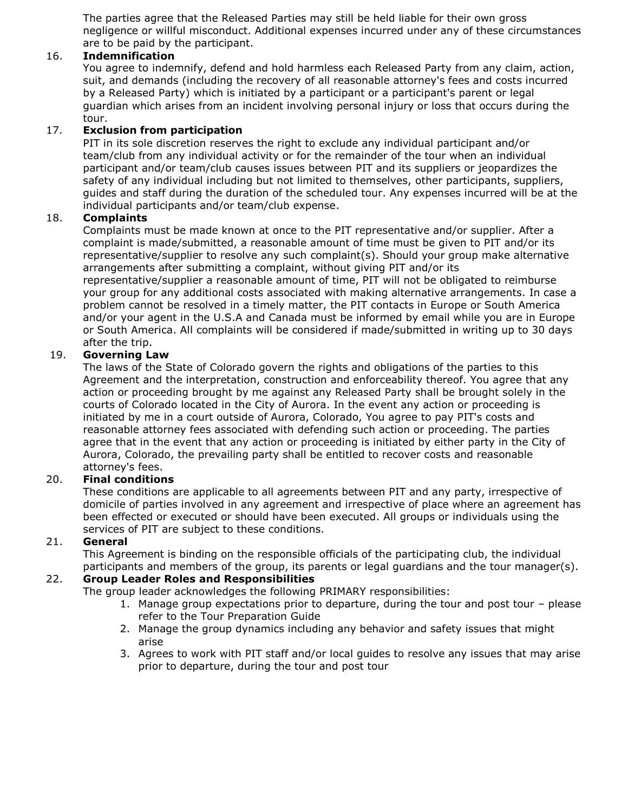The parties agree that the Released Parties may still be held liable for their own gross negligence or willful misconduct. Additional expenses incurred under any of these circumstances are to be paid by the participant.

## 16. **Indemnification**

You agree to indemnify, defend and hold harmless each Released Party from any claim, action, suit, and demands (including the recovery of all reasonable attorney's fees and costs incurred by a Released Party) which is initiated by a participant or a participant's parent or legal guardian which arises from an incident involving personal injury or loss that occurs during the tour.

## 17. **Exclusion from participation**

PIT in its sole discretion reserves the right to exclude any individual participant and/or team/club from any individual activity or for the remainder of the tour when an individual participant and/or team/club causes issues between PIT and its suppliers or jeopardizes the safety of any individual including but not limited to themselves, other participants, suppliers, guides and staff during the duration of the scheduled tour. Any expenses incurred will be at the individual participants and/or team/club expense.

## 18. **Complaints**

Complaints must be made known at once to the PIT representative and/or supplier. After a complaint is made/submitted, a reasonable amount of time must be given to PIT and/or its representative/supplier to resolve any such complaint(s). Should your group make alternative arrangements after submitting a complaint, without giving PIT and/or its representative/supplier a reasonable amount of time, PIT will not be obligated to reimburse your group for any additional costs associated with making alternative arrangements. In case a problem cannot be resolved in a timely matter, the PIT contacts in Europe or South America and/or your agent in the U.S.A and Canada must be informed by email while you are in Europe or South America. All complaints will be considered if made/submitted in writing up to 30 days after the trip.

# 19. **Governing Law**

The laws of the State of Colorado govern the rights and obligations of the parties to this Agreement and the interpretation, construction and enforceability thereof. You agree that any action or proceeding brought by me against any Released Party shall be brought solely in the courts of Colorado located in the City of Aurora. In the event any action or proceeding is initiated by me in a court outside of Aurora, Colorado, You agree to pay PIT's costs and reasonable attorney fees associated with defending such action or proceeding. The parties agree that in the event that any action or proceeding is initiated by either party in the City of Aurora, Colorado, the prevailing party shall be entitled to recover costs and reasonable attorney's fees.

# 20. **Final conditions**

These conditions are applicable to all agreements between PIT and any party, irrespective of domicile of parties involved in any agreement and irrespective of place where an agreement has been effected or executed or should have been executed. All groups or individuals using the services of PIT are subject to these conditions.

# 21. **General**

This Agreement is binding on the responsible officials of the participating club, the individual participants and members of the group, its parents or legal guardians and the tour manager(s).

# 22. **Group Leader Roles and Responsibilities**

The group leader acknowledges the following PRIMARY responsibilities:

- 1. Manage group expectations prior to departure, during the tour and post tour please refer to the Tour Preparation Guide
- 2. Manage the group dynamics including any behavior and safety issues that might arise
- 3. Agrees to work with PIT staff and/or local guides to resolve any issues that may arise prior to departure, during the tour and post tour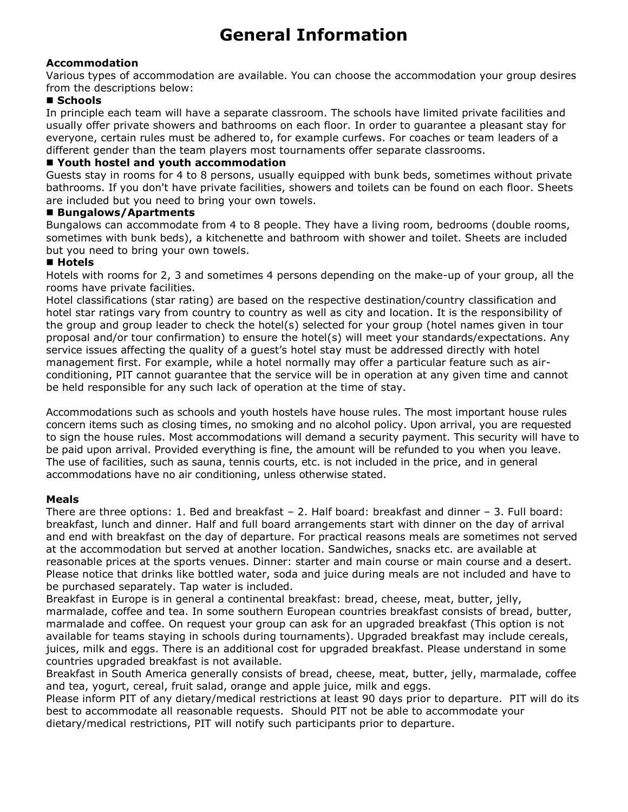# **General Information**

## **Accommodation**

Various types of accommodation are available. You can choose the accommodation your group desires from the descriptions below:

# ■ Schools

In principle each team will have a separate classroom. The schools have limited private facilities and usually offer private showers and bathrooms on each floor. In order to guarantee a pleasant stay for everyone, certain rules must be adhered to, for example curfews. For coaches or team leaders of a different gender than the team players most tournaments offer separate classrooms.

### **Youth hostel and youth accommodation**

Guests stay in rooms for 4 to 8 persons, usually equipped with bunk beds, sometimes without private bathrooms. If you don't have private facilities, showers and toilets can be found on each floor. Sheets are included but you need to bring your own towels.

### **Bungalows/Apartments**

Bungalows can accommodate from 4 to 8 people. They have a living room, bedrooms (double rooms, sometimes with bunk beds), a kitchenette and bathroom with shower and toilet. Sheets are included but you need to bring your own towels.

## **Hotels**

Hotels with rooms for 2, 3 and sometimes 4 persons depending on the make-up of your group, all the rooms have private facilities.

Hotel classifications (star rating) are based on the respective destination/country classification and hotel star ratings vary from country to country as well as city and location. It is the responsibility of the group and group leader to check the hotel(s) selected for your group (hotel names given in tour proposal and/or tour confirmation) to ensure the hotel(s) will meet your standards/expectations. Any service issues affecting the quality of a guest's hotel stay must be addressed directly with hotel management first. For example, while a hotel normally may offer a particular feature such as airconditioning, PIT cannot guarantee that the service will be in operation at any given time and cannot be held responsible for any such lack of operation at the time of stay.

Accommodations such as schools and youth hostels have house rules. The most important house rules concern items such as closing times, no smoking and no alcohol policy. Upon arrival, you are requested to sign the house rules. Most accommodations will demand a security payment. This security will have to be paid upon arrival. Provided everything is fine, the amount will be refunded to you when you leave. The use of facilities, such as sauna, tennis courts, etc. is not included in the price, and in general accommodations have no air conditioning, unless otherwise stated.

# **Meals**

There are three options: 1. Bed and breakfast – 2. Half board: breakfast and dinner – 3. Full board: breakfast, lunch and dinner. Half and full board arrangements start with dinner on the day of arrival and end with breakfast on the day of departure. For practical reasons meals are sometimes not served at the accommodation but served at another location. Sandwiches, snacks etc. are available at reasonable prices at the sports venues. Dinner: starter and main course or main course and a desert. Please notice that drinks like bottled water, soda and juice during meals are not included and have to be purchased separately. Tap water is included.

Breakfast in Europe is in general a continental breakfast: bread, cheese, meat, butter, jelly, marmalade, coffee and tea. In some southern European countries breakfast consists of bread, butter, marmalade and coffee. On request your group can ask for an upgraded breakfast (This option is not available for teams staying in schools during tournaments). Upgraded breakfast may include cereals, juices, milk and eggs. There is an additional cost for upgraded breakfast. Please understand in some countries upgraded breakfast is not available.

Breakfast in South America generally consists of bread, cheese, meat, butter, jelly, marmalade, coffee and tea, yogurt, cereal, fruit salad, orange and apple juice, milk and eggs.

Please inform PIT of any dietary/medical restrictions at least 90 days prior to departure. PIT will do its best to accommodate all reasonable requests. Should PIT not be able to accommodate your dietary/medical restrictions, PIT will notify such participants prior to departure.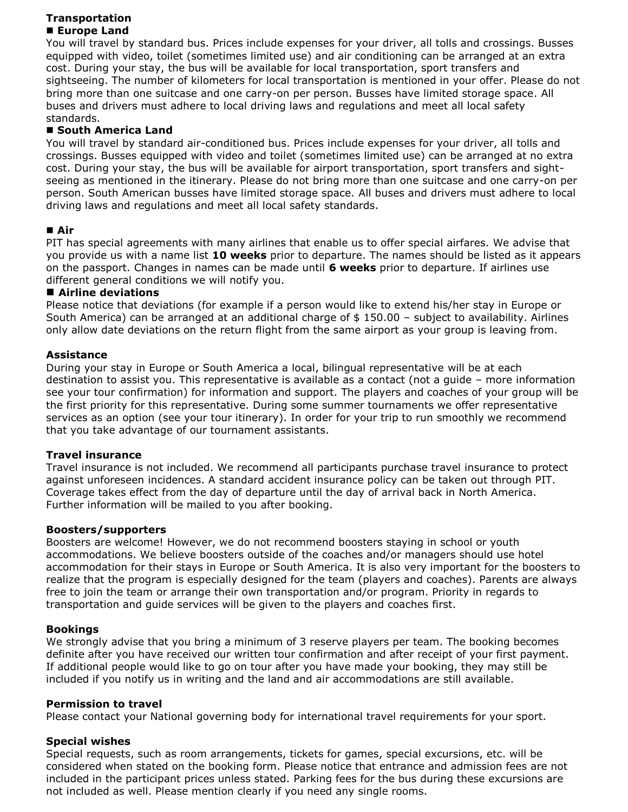### **Transportation Europe Land**

You will travel by standard bus. Prices include expenses for your driver, all tolls and crossings. Busses equipped with video, toilet (sometimes limited use) and air conditioning can be arranged at an extra cost. During your stay, the bus will be available for local transportation, sport transfers and sightseeing. The number of kilometers for local transportation is mentioned in your offer. Please do not bring more than one suitcase and one carry-on per person. Busses have limited storage space. All buses and drivers must adhere to local driving laws and regulations and meet all local safety standards.

## **South America Land**

You will travel by standard air-conditioned bus. Prices include expenses for your driver, all tolls and crossings. Busses equipped with video and toilet (sometimes limited use) can be arranged at no extra cost. During your stay, the bus will be available for airport transportation, sport transfers and sightseeing as mentioned in the itinerary. Please do not bring more than one suitcase and one carry-on per person. South American busses have limited storage space. All buses and drivers must adhere to local driving laws and regulations and meet all local safety standards.

## **Air**

PIT has special agreements with many airlines that enable us to offer special airfares. We advise that you provide us with a name list **10 weeks** prior to departure. The names should be listed as it appears on the passport. Changes in names can be made until **6 weeks** prior to departure. If airlines use different general conditions we will notify you.

### **Airline deviations**

Please notice that deviations (for example if a person would like to extend his/her stay in Europe or South America) can be arranged at an additional charge of  $$150.00$  - subject to availability. Airlines only allow date deviations on the return flight from the same airport as your group is leaving from.

## **Assistance**

During your stay in Europe or South America a local, bilingual representative will be at each destination to assist you. This representative is available as a contact (not a guide – more information see your tour confirmation) for information and support. The players and coaches of your group will be the first priority for this representative. During some summer tournaments we offer representative services as an option (see your tour itinerary). In order for your trip to run smoothly we recommend that you take advantage of our tournament assistants.

### **Travel insurance**

Travel insurance is not included. We recommend all participants purchase travel insurance to protect against unforeseen incidences. A standard accident insurance policy can be taken out through PIT. Coverage takes effect from the day of departure until the day of arrival back in North America. Further information will be mailed to you after booking.

### **Boosters/supporters**

Boosters are welcome! However, we do not recommend boosters staying in school or youth accommodations. We believe boosters outside of the coaches and/or managers should use hotel accommodation for their stays in Europe or South America. It is also very important for the boosters to realize that the program is especially designed for the team (players and coaches). Parents are always free to join the team or arrange their own transportation and/or program. Priority in regards to transportation and guide services will be given to the players and coaches first.

### **Bookings**

We strongly advise that you bring a minimum of 3 reserve players per team. The booking becomes definite after you have received our written tour confirmation and after receipt of your first payment. If additional people would like to go on tour after you have made your booking, they may still be included if you notify us in writing and the land and air accommodations are still available.

### **Permission to travel**

Please contact your National governing body for international travel requirements for your sport.

# **Special wishes**

Special requests, such as room arrangements, tickets for games, special excursions, etc. will be considered when stated on the booking form. Please notice that entrance and admission fees are not included in the participant prices unless stated. Parking fees for the bus during these excursions are not included as well. Please mention clearly if you need any single rooms.